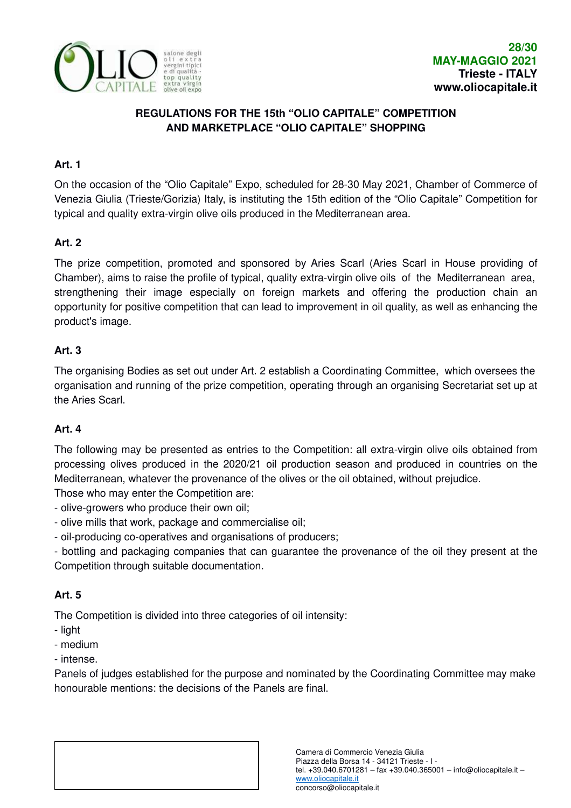

# **REGULATIONS FOR THE 15th "OLIO CAPITALE" COMPETITION AND MARKETPLACE "OLIO CAPITALE" SHOPPING**

## **Art. 1**

On the occasion of the "Olio Capitale" Expo, scheduled for 28-30 May 2021, Chamber of Commerce of Venezia Giulia (Trieste/Gorizia) Italy, is instituting the 15th edition of the "Olio Capitale" Competition for typical and quality extra-virgin olive oils produced in the Mediterranean area.

# **Art. 2**

The prize competition, promoted and sponsored by Aries Scarl (Aries Scarl in House providing of Chamber), aims to raise the profile of typical, quality extra-virgin olive oils of the Mediterranean area, strengthening their image especially on foreign markets and offering the production chain an opportunity for positive competition that can lead to improvement in oil quality, as well as enhancing the product's image.

## **Art. 3**

The organising Bodies as set out under Art. 2 establish a Coordinating Committee, which oversees the organisation and running of the prize competition, operating through an organising Secretariat set up at the Aries Scarl.

# **Art. 4**

The following may be presented as entries to the Competition: all extra-virgin olive oils obtained from processing olives produced in the 2020/21 oil production season and produced in countries on the Mediterranean, whatever the provenance of the olives or the oil obtained, without prejudice.

Those who may enter the Competition are:

- olive-growers who produce their own oil;
- olive mills that work, package and commercialise oil;
- oil-producing co-operatives and organisations of producers;

- bottling and packaging companies that can guarantee the provenance of the oil they present at the Competition through suitable documentation.

# **Art. 5**

The Competition is divided into three categories of oil intensity:

- light
- medium
- intense.

Panels of judges established for the purpose and nominated by the Coordinating Committee may make honourable mentions: the decisions of the Panels are final.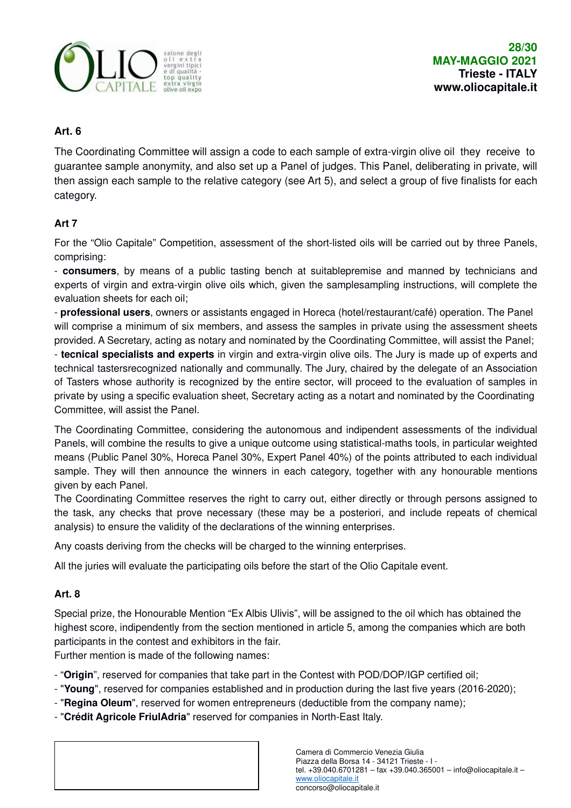

## **Art. 6**

The Coordinating Committee will assign a code to each sample of extra-virgin olive oil they receive to guarantee sample anonymity, and also set up a Panel of judges. This Panel, deliberating in private, will then assign each sample to the relative category (see Art 5), and select a group of five finalists for each category.

## **Art 7**

For the "Olio Capitale" Competition, assessment of the short-listed oils will be carried out by three Panels, comprising:

- **consumers**, by means of a public tasting bench at suitablepremise and manned by technicians and experts of virgin and extra-virgin olive oils which, given the samplesampling instructions, will complete the evaluation sheets for each oil;

- **professional users**, owners or assistants engaged in Horeca (hotel/restaurant/café) operation. The Panel will comprise a minimum of six members, and assess the samples in private using the assessment sheets provided. A Secretary, acting as notary and nominated by the Coordinating Committee, will assist the Panel;

- **tecnical specialists and experts** in virgin and extra-virgin olive oils. The Jury is made up of experts and technical tastersrecognized nationally and communally. The Jury, chaired by the delegate of an Association of Tasters whose authority is recognized by the entire sector, will proceed to the evaluation of samples in private by using a specific evaluation sheet, Secretary acting as a notart and nominated by the Coordinating Committee, will assist the Panel.

The Coordinating Committee, considering the autonomous and indipendent assessments of the individual Panels, will combine the results to give a unique outcome using statistical-maths tools, in particular weighted means (Public Panel 30%, Horeca Panel 30%, Expert Panel 40%) of the points attributed to each individual sample. They will then announce the winners in each category, together with any honourable mentions given by each Panel.

The Coordinating Committee reserves the right to carry out, either directly or through persons assigned to the task, any checks that prove necessary (these may be a posteriori, and include repeats of chemical analysis) to ensure the validity of the declarations of the winning enterprises.

Any coasts deriving from the checks will be charged to the winning enterprises.

All the juries will evaluate the participating oils before the start of the Olio Capitale event.

### **Art. 8**

Special prize, the Honourable Mention "Ex Albis Ulivis", will be assigned to the oil which has obtained the highest score, indipendently from the section mentioned in article 5, among the companies which are both participants in the contest and exhibitors in the fair.

Further mention is made of the following names:

- "**Origin**", reserved for companies that take part in the Contest with POD/DOP/IGP certified oil;

- "**Young**", reserved for companies established and in production during the last five years (2016-2020);
- "**Regina Oleum**", reserved for women entrepreneurs (deductible from the company name);
- "**Crédit Agricole FriulAdria**" reserved for companies in North-East Italy.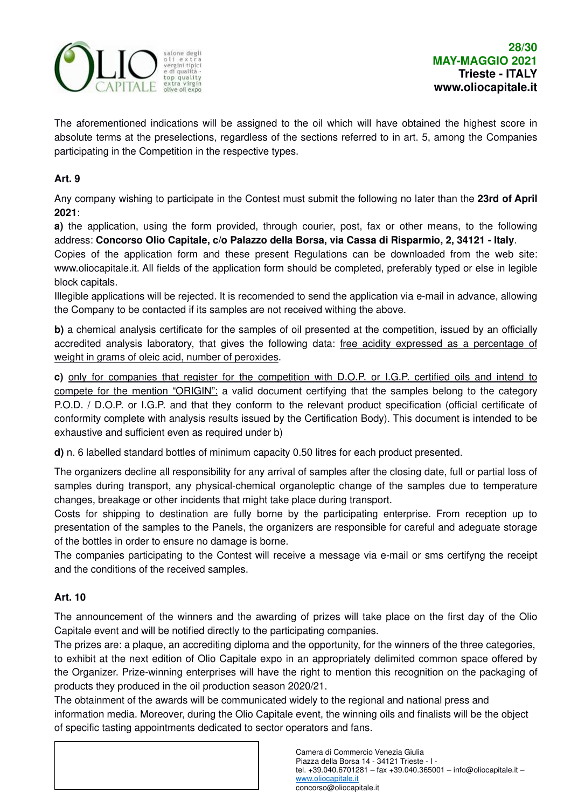

The aforementioned indications will be assigned to the oil which will have obtained the highest score in absolute terms at the preselections, regardless of the sections referred to in art. 5, among the Companies participating in the Competition in the respective types.

### **Art. 9**

Any company wishing to participate in the Contest must submit the following no later than the **23rd of April 2021**:

**a)** the application, using the form provided, through courier, post, fax or other means, to the following address: **Concorso Olio Capitale, c/o Palazzo della Borsa, via Cassa di Risparmio, 2, 34121 - Italy**.

Copies of the application form and these present Regulations can be downloaded from the web site: www.oliocapitale.it. All fields of the application form should be completed, preferably typed or else in legible block capitals.

Illegible applications will be rejected. It is recomended to send the application via e-mail in advance, allowing the Company to be contacted if its samples are not received withing the above.

**b**) a chemical analysis certificate for the samples of oil presented at the competition, issued by an officially accredited analysis laboratory, that gives the following data: free acidity expressed as a percentage of weight in grams of oleic acid, number of peroxides.

**c)** only for companies that register for the competition with D.O.P. or I.G.P. certified oils and intend to compete for the mention "ORIGIN": a valid document certifying that the samples belong to the category P.O.D. / D.O.P. or I.G.P. and that they conform to the relevant product specification (official certificate of conformity complete with analysis results issued by the Certification Body). This document is intended to be exhaustive and sufficient even as required under b)

**d)** n. 6 labelled standard bottles of minimum capacity 0.50 litres for each product presented.

The organizers decline all responsibility for any arrival of samples after the closing date, full or partial loss of samples during transport, any physical-chemical organoleptic change of the samples due to temperature changes, breakage or other incidents that might take place during transport.

Costs for shipping to destination are fully borne by the participating enterprise. From reception up to presentation of the samples to the Panels, the organizers are responsible for careful and adeguate storage of the bottles in order to ensure no damage is borne.

The companies participating to the Contest will receive a message via e-mail or sms certifyng the receipt and the conditions of the received samples.

# **Art. 10**

The announcement of the winners and the awarding of prizes will take place on the first day of the Olio Capitale event and will be notified directly to the participating companies.

The prizes are: a plaque, an accrediting diploma and the opportunity, for the winners of the three categories, to exhibit at the next edition of Olio Capitale expo in an appropriately delimited common space offered by the Organizer. Prize-winning enterprises will have the right to mention this recognition on the packaging of products they produced in the oil production season 2020/21.

The obtainment of the awards will be communicated widely to the regional and national press and information media. Moreover, during the Olio Capitale event, the winning oils and finalists will be the object of specific tasting appointments dedicated to sector operators and fans.